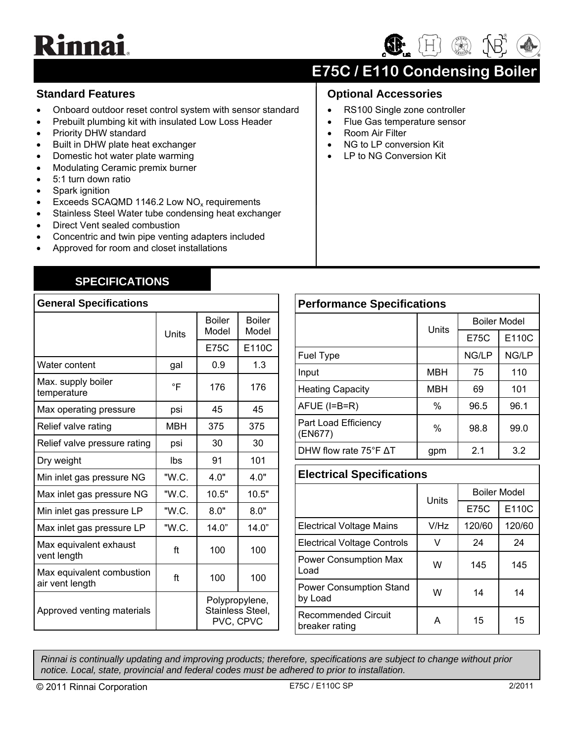# **Rinnai**

## $(H)$

### **E75C / E110 Condensing Boiler**

**Optional Accessories** 

• Room Air Filter

• RS100 Single zone controller • Flue Gas temperature sensor

> NG to LP conversion Kit LP to NG Conversion Kit

#### **Standard Features**

- Onboard outdoor reset control system with sensor standard
- Prebuilt plumbing kit with insulated Low Loss Header
- Priority DHW standard
- Built in DHW plate heat exchanger
- Domestic hot water plate warming
- Modulating Ceramic premix burner
- 5:1 turn down ratio
- Spark ignition
- Exceeds SCAQMD 1146.2 Low  $NO<sub>x</sub>$  requirements
- Stainless Steel Water tube condensing heat exchanger
- Direct Vent sealed combustion
- Concentric and twin pipe venting adapters included
- Approved for room and closet installations

#### **SPECIFICATIONS**

| <b>General Specifications</b>                |       |                                                 |                        |
|----------------------------------------------|-------|-------------------------------------------------|------------------------|
|                                              | Units | <b>Boiler</b><br>Model                          | <b>Boiler</b><br>Model |
|                                              |       | <b>E75C</b>                                     | E110C                  |
| Water content                                | gal   | 0.9                                             | 1.3                    |
| Max. supply boiler<br>temperature            | °F    | 176                                             | 176                    |
| Max operating pressure                       | psi   | 45                                              | 45                     |
| Relief valve rating                          | MBH   | 375                                             | 375                    |
| Relief valve pressure rating                 | psi   | 30                                              | 30                     |
| Dry weight                                   | lbs   | 91                                              | 101                    |
| Min inlet gas pressure NG                    | "W.C. | 4.0"                                            | 4.0"                   |
| Max inlet gas pressure NG                    | "W.C. | 10.5"                                           | 10.5"                  |
| Min inlet gas pressure LP                    | "W.C. | 8.0"                                            | 8.0"                   |
| Max inlet gas pressure LP                    | "W.C. | 14.0"                                           | 14.0"                  |
| Max equivalent exhaust<br>vent length        | ft    | 100                                             | 100                    |
| Max equivalent combustion<br>air vent length | ft    | 100                                             | 100                    |
| Approved venting materials                   |       | Polypropylene,<br>Stainless Steel,<br>PVC, CPVC |                        |

| <b>Performance Specifications</b> |            |                     |       |
|-----------------------------------|------------|---------------------|-------|
|                                   | Units      | <b>Boiler Model</b> |       |
|                                   |            | <b>E75C</b>         | E110C |
| Fuel Type                         |            | NG/LP               | NG/LP |
| Input                             | <b>MBH</b> | 75                  | 110   |
| <b>Heating Capacity</b>           | MBH        | 69                  | 101   |
| $AFUE$ (I=B=R)                    | $\%$       | 96.5                | 96.1  |
| Part Load Efficiency<br>(EN677)   | %          | 98.8                | 99.0  |
| DHW flow rate $75^{\circ}$ F AT   | gpm        | 2.1                 | 3.2   |

#### **Electrical Specifications**

|                                              | Units | <b>Boiler Model</b> |        |
|----------------------------------------------|-------|---------------------|--------|
|                                              |       | <b>E75C</b>         | E110C  |
| <b>Electrical Voltage Mains</b>              | V/Hz  | 120/60              | 120/60 |
| <b>Electrical Voltage Controls</b>           | v     | 24                  | 24     |
| <b>Power Consumption Max</b><br>Load         | W     | 145                 | 145    |
| <b>Power Consumption Stand</b><br>by Load    | W     | 14                  | 14     |
| <b>Recommended Circuit</b><br>breaker rating |       | 15                  | 15     |

*Rinnai is continually updating and improving products; therefore, specifications are subject to change without prior notice. Local, state, provincial and federal codes must be adhered to prior to installation.* 

© 2011 Rinnai Corporation E75C / E110C SP 2/2011